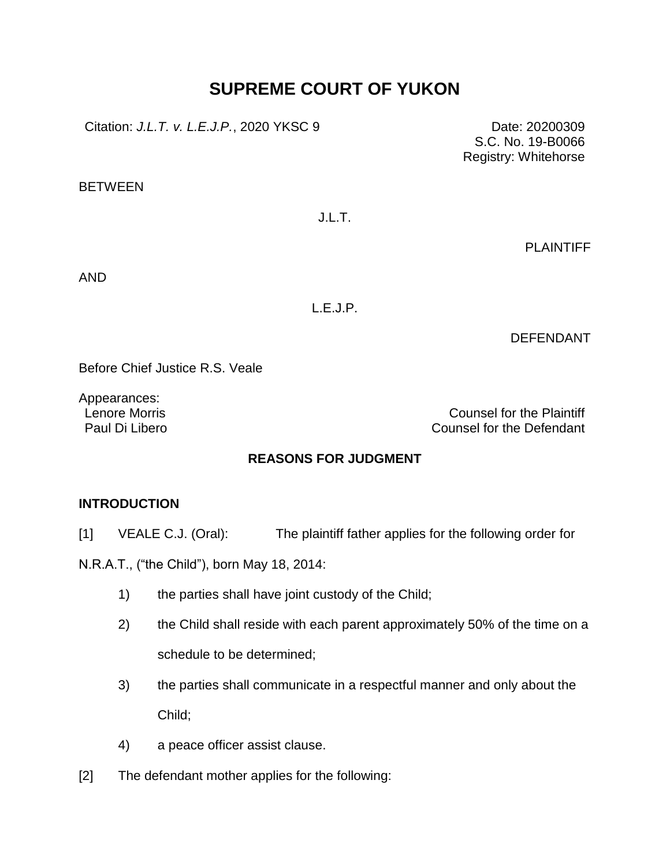# **SUPREME COURT OF YUKON**

Citation: *J.L.T. v. L.E.J.P.*, 2020 YKSC 9 Date: 20200309

**BETWEEN** 

J.L.T.

PLAINTIFF

S.C. No. 19-B0066 Registry: Whitehorse

AND

L.E.J.P.

DEFENDANT

Before Chief Justice R.S. Veale

Appearances:

Lenore Morris Counsel for the Plaintiff Paul Di Libero Counsel for the Defendant

## **REASONS FOR JUDGMENT**

### **INTRODUCTION**

[1] VEALE C.J. (Oral): The plaintiff father applies for the following order for

N.R.A.T., ("the Child"), born May 18, 2014:

- 1) the parties shall have joint custody of the Child;
- 2) the Child shall reside with each parent approximately 50% of the time on a schedule to be determined;
- 3) the parties shall communicate in a respectful manner and only about the Child;
- 4) a peace officer assist clause.
- [2] The defendant mother applies for the following: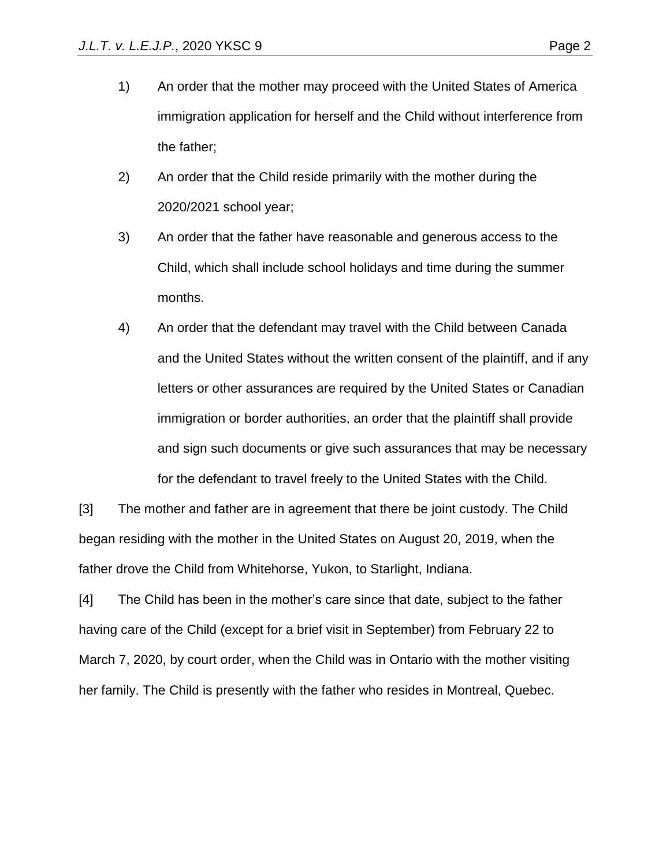- 1) An order that the mother may proceed with the United States of America immigration application for herself and the Child without interference from the father;
- 2) An order that the Child reside primarily with the mother during the 2020/2021 school year;
- 3) An order that the father have reasonable and generous access to the Child, which shall include school holidays and time during the summer months.
- 4) An order that the defendant may travel with the Child between Canada and the United States without the written consent of the plaintiff, and if any letters or other assurances are required by the United States or Canadian immigration or border authorities, an order that the plaintiff shall provide and sign such documents or give such assurances that may be necessary for the defendant to travel freely to the United States with the Child.

[3] The mother and father are in agreement that there be joint custody. The Child began residing with the mother in the United States on August 20, 2019, when the father drove the Child from Whitehorse, Yukon, to Starlight, Indiana.

[4] The Child has been in the mother's care since that date, subject to the father having care of the Child (except for a brief visit in September) from February 22 to March 7, 2020, by court order, when the Child was in Ontario with the mother visiting her family. The Child is presently with the father who resides in Montreal, Quebec.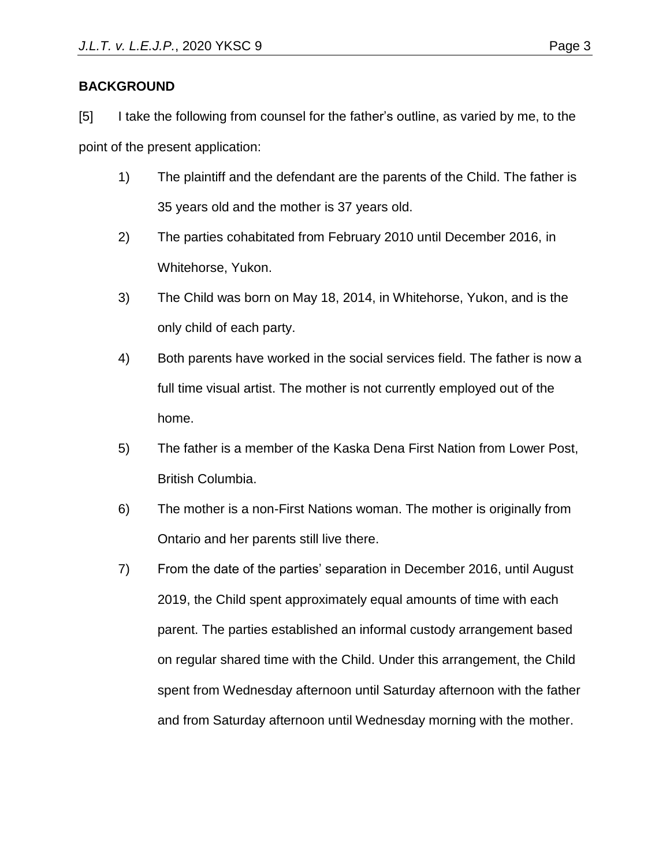## **BACKGROUND**

[5] I take the following from counsel for the father's outline, as varied by me, to the point of the present application:

- 1) The plaintiff and the defendant are the parents of the Child. The father is 35 years old and the mother is 37 years old.
- 2) The parties cohabitated from February 2010 until December 2016, in Whitehorse, Yukon.
- 3) The Child was born on May 18, 2014, in Whitehorse, Yukon, and is the only child of each party.
- 4) Both parents have worked in the social services field. The father is now a full time visual artist. The mother is not currently employed out of the home.
- 5) The father is a member of the Kaska Dena First Nation from Lower Post, British Columbia.
- 6) The mother is a non-First Nations woman. The mother is originally from Ontario and her parents still live there.
- 7) From the date of the parties' separation in December 2016, until August 2019, the Child spent approximately equal amounts of time with each parent. The parties established an informal custody arrangement based on regular shared time with the Child. Under this arrangement, the Child spent from Wednesday afternoon until Saturday afternoon with the father and from Saturday afternoon until Wednesday morning with the mother.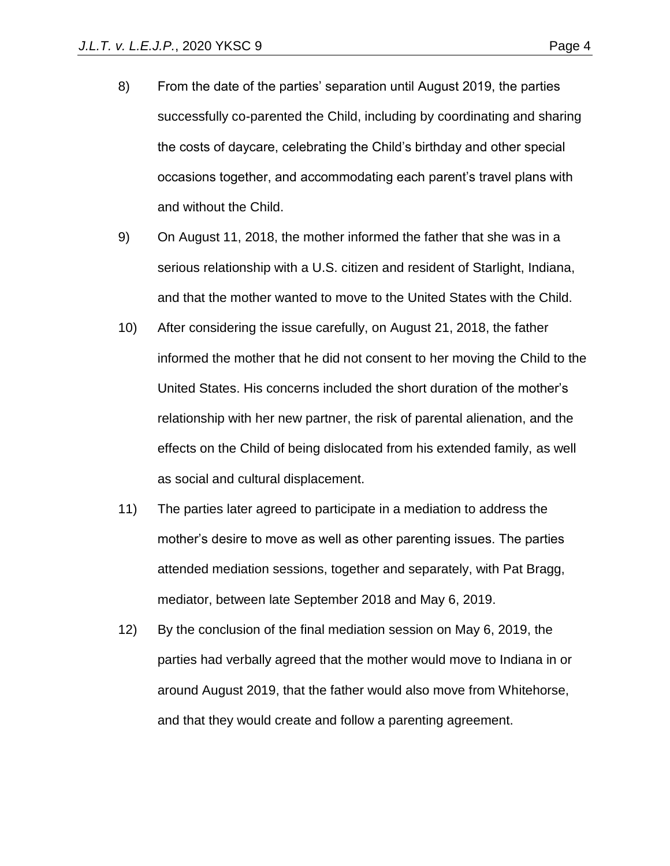- 8) From the date of the parties' separation until August 2019, the parties successfully co-parented the Child, including by coordinating and sharing the costs of daycare, celebrating the Child's birthday and other special occasions together, and accommodating each parent's travel plans with and without the Child.
- 9) On August 11, 2018, the mother informed the father that she was in a serious relationship with a U.S. citizen and resident of Starlight, Indiana, and that the mother wanted to move to the United States with the Child.
- 10) After considering the issue carefully, on August 21, 2018, the father informed the mother that he did not consent to her moving the Child to the United States. His concerns included the short duration of the mother's relationship with her new partner, the risk of parental alienation, and the effects on the Child of being dislocated from his extended family, as well as social and cultural displacement.
- 11) The parties later agreed to participate in a mediation to address the mother's desire to move as well as other parenting issues. The parties attended mediation sessions, together and separately, with Pat Bragg, mediator, between late September 2018 and May 6, 2019.
- 12) By the conclusion of the final mediation session on May 6, 2019, the parties had verbally agreed that the mother would move to Indiana in or around August 2019, that the father would also move from Whitehorse, and that they would create and follow a parenting agreement.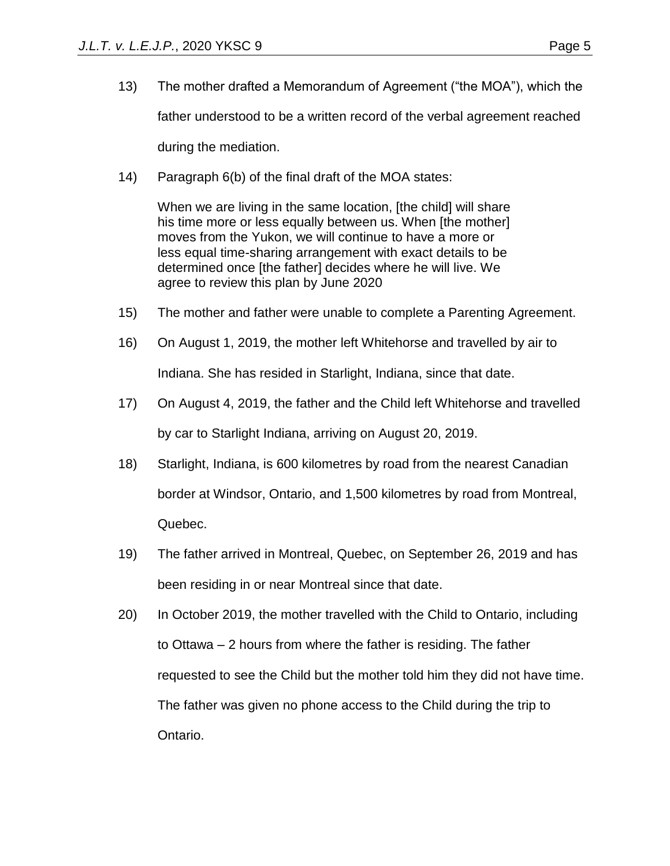- 13) The mother drafted a Memorandum of Agreement ("the MOA"), which the father understood to be a written record of the verbal agreement reached during the mediation.
- 14) Paragraph 6(b) of the final draft of the MOA states:

When we are living in the same location, [the child] will share his time more or less equally between us. When [the mother] moves from the Yukon, we will continue to have a more or less equal time-sharing arrangement with exact details to be determined once [the father] decides where he will live. We agree to review this plan by June 2020

- 15) The mother and father were unable to complete a Parenting Agreement.
- 16) On August 1, 2019, the mother left Whitehorse and travelled by air to Indiana. She has resided in Starlight, Indiana, since that date.
- 17) On August 4, 2019, the father and the Child left Whitehorse and travelled by car to Starlight Indiana, arriving on August 20, 2019.
- 18) Starlight, Indiana, is 600 kilometres by road from the nearest Canadian border at Windsor, Ontario, and 1,500 kilometres by road from Montreal, Quebec.
- 19) The father arrived in Montreal, Quebec, on September 26, 2019 and has been residing in or near Montreal since that date.
- 20) In October 2019, the mother travelled with the Child to Ontario, including to Ottawa – 2 hours from where the father is residing. The father requested to see the Child but the mother told him they did not have time. The father was given no phone access to the Child during the trip to Ontario.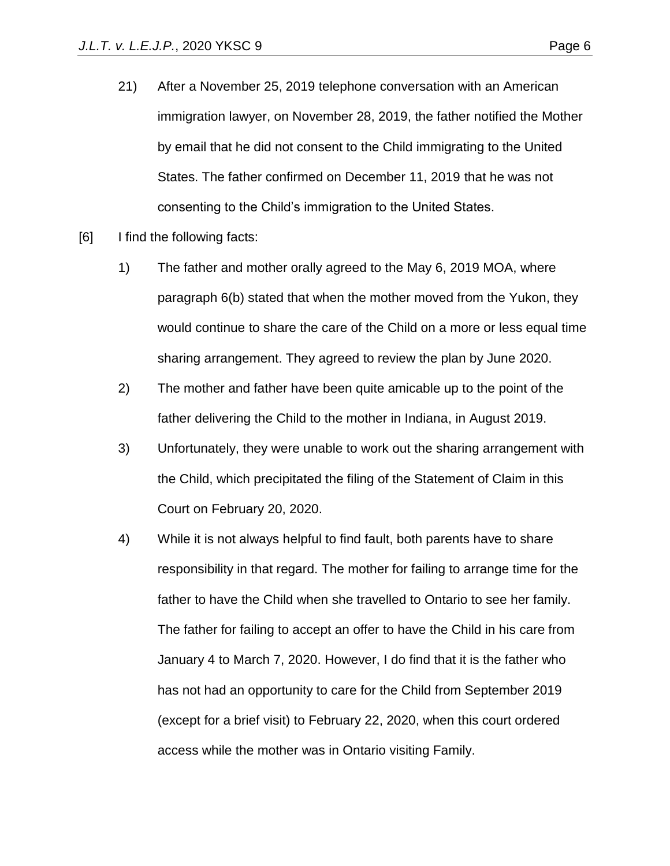- 21) After a November 25, 2019 telephone conversation with an American immigration lawyer, on November 28, 2019, the father notified the Mother by email that he did not consent to the Child immigrating to the United States. The father confirmed on December 11, 2019 that he was not consenting to the Child's immigration to the United States.
- [6] I find the following facts:
	- 1) The father and mother orally agreed to the May 6, 2019 MOA, where paragraph 6(b) stated that when the mother moved from the Yukon, they would continue to share the care of the Child on a more or less equal time sharing arrangement. They agreed to review the plan by June 2020.
	- 2) The mother and father have been quite amicable up to the point of the father delivering the Child to the mother in Indiana, in August 2019.
	- 3) Unfortunately, they were unable to work out the sharing arrangement with the Child, which precipitated the filing of the Statement of Claim in this Court on February 20, 2020.
	- 4) While it is not always helpful to find fault, both parents have to share responsibility in that regard. The mother for failing to arrange time for the father to have the Child when she travelled to Ontario to see her family. The father for failing to accept an offer to have the Child in his care from January 4 to March 7, 2020. However, I do find that it is the father who has not had an opportunity to care for the Child from September 2019 (except for a brief visit) to February 22, 2020, when this court ordered access while the mother was in Ontario visiting Family.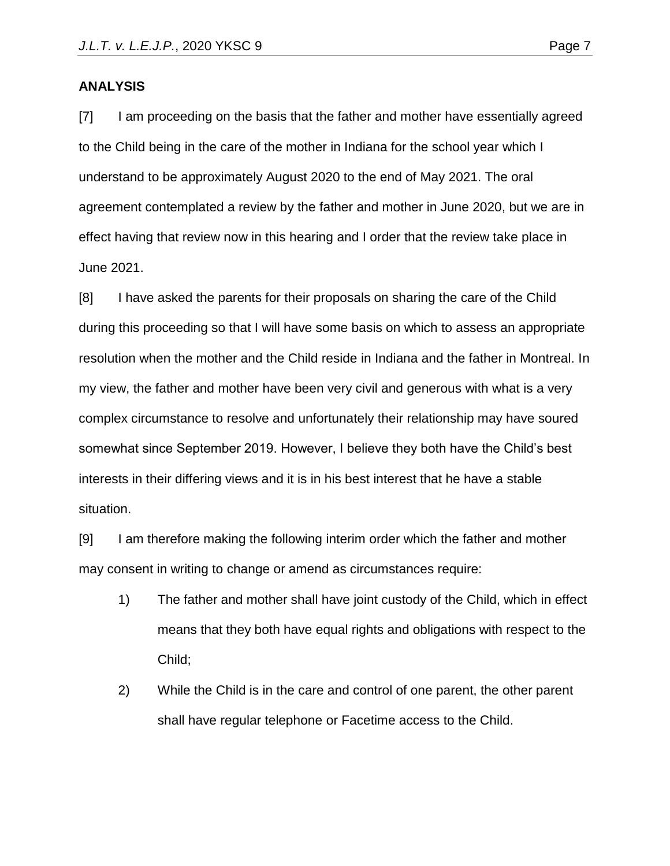#### **ANALYSIS**

[7] I am proceeding on the basis that the father and mother have essentially agreed to the Child being in the care of the mother in Indiana for the school year which I understand to be approximately August 2020 to the end of May 2021. The oral agreement contemplated a review by the father and mother in June 2020, but we are in effect having that review now in this hearing and I order that the review take place in June 2021.

[8] I have asked the parents for their proposals on sharing the care of the Child during this proceeding so that I will have some basis on which to assess an appropriate resolution when the mother and the Child reside in Indiana and the father in Montreal. In my view, the father and mother have been very civil and generous with what is a very complex circumstance to resolve and unfortunately their relationship may have soured somewhat since September 2019. However, I believe they both have the Child's best interests in their differing views and it is in his best interest that he have a stable situation.

[9] I am therefore making the following interim order which the father and mother may consent in writing to change or amend as circumstances require:

- 1) The father and mother shall have joint custody of the Child, which in effect means that they both have equal rights and obligations with respect to the Child;
- 2) While the Child is in the care and control of one parent, the other parent shall have regular telephone or Facetime access to the Child.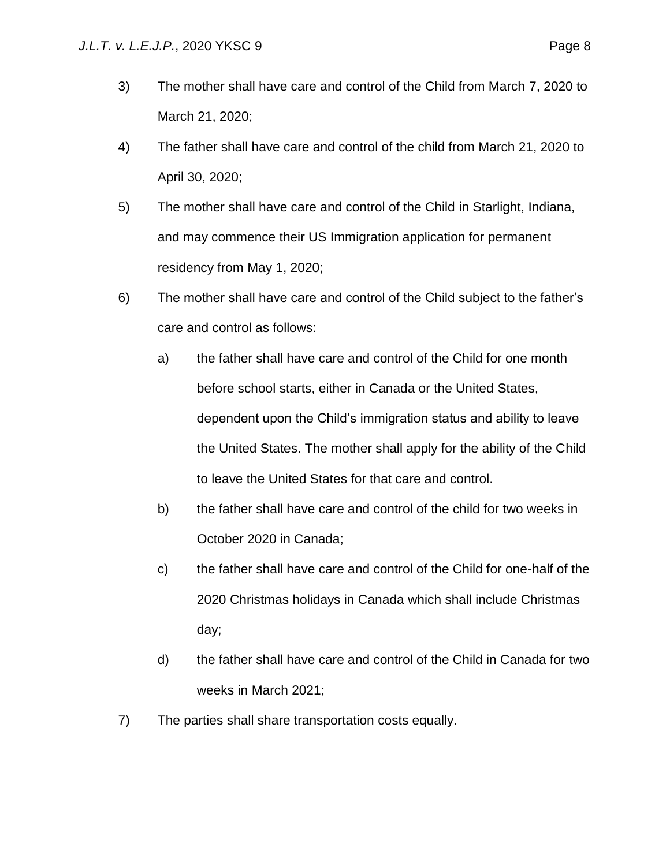- 3) The mother shall have care and control of the Child from March 7, 2020 to March 21, 2020;
- 4) The father shall have care and control of the child from March 21, 2020 to April 30, 2020;
- 5) The mother shall have care and control of the Child in Starlight, Indiana, and may commence their US Immigration application for permanent residency from May 1, 2020;
- 6) The mother shall have care and control of the Child subject to the father's care and control as follows:
	- a) the father shall have care and control of the Child for one month before school starts, either in Canada or the United States, dependent upon the Child's immigration status and ability to leave the United States. The mother shall apply for the ability of the Child to leave the United States for that care and control.
	- b) the father shall have care and control of the child for two weeks in October 2020 in Canada;
	- c) the father shall have care and control of the Child for one-half of the 2020 Christmas holidays in Canada which shall include Christmas day;
	- d) the father shall have care and control of the Child in Canada for two weeks in March 2021;
- 7) The parties shall share transportation costs equally.